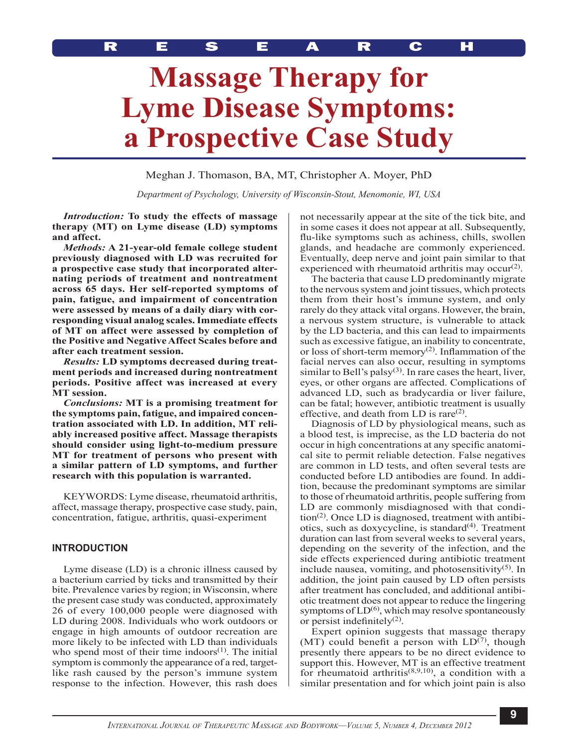# **Massage Therapy for Lyme Disease Symptoms: a Prospective Case Study**

Meghan J. Thomason, BA, MT, Christopher A. Moyer, PhD

*Department of Psychology, University of Wisconsin-Stout, Menomonie, WI, USA*

*Introduction:* **To study the effects of massage therapy (MT) on Lyme disease (LD) symptoms and affect.**

*Methods:* **A 21-year-old female college student previously diagnosed with LD was recruited for a prospective case study that incorporated alternating periods of treatment and nontreatment across 65 days. Her self-reported symptoms of pain, fatigue, and impairment of concentration were assessed by means of a daily diary with corresponding visual analog scales. Immediate effects of MT on affect were assessed by completion of the Positive and Negative Affect Scales before and after each treatment session.** 

*Results:* **LD symptoms decreased during treatment periods and increased during nontreatment periods. Positive affect was increased at every MT session.**

*Conclusions:* **MT is a promising treatment for the symptoms pain, fatigue, and impaired concentration associated with LD. In addition, MT reliably increased positive affect. Massage therapists should consider using light-to-medium pressure MT for treatment of persons who present with a similar pattern of LD symptoms, and further research with this population is warranted.**

KEYWORDS: Lyme disease, rheumatoid arthritis, affect, massage therapy, prospective case study, pain, concentration, fatigue, arthritis, quasi-experiment

# **Introduction**

Lyme disease (LD) is a chronic illness caused by a bacterium carried by ticks and transmitted by their bite. Prevalence varies by region; in Wisconsin, where the present case study was conducted, approximately 26 of every 100,000 people were diagnosed with LD during 2008. Individuals who work outdoors or engage in high amounts of outdoor recreation are more likely to be infected with LD than individuals who spend most of their time indoors $(1)$ . The initial symptom is commonly the appearance of a red, targetlike rash caused by the person's immune system response to the infection. However, this rash does

not necessarily appear at the site of the tick bite, and in some cases it does not appear at all. Subsequently, flu-like symptoms such as achiness, chills, swollen glands, and headache are commonly experienced. Eventually, deep nerve and joint pain similar to that experienced with rheumatoid arthritis may occur<sup>(2)</sup>.

The bacteria that cause LD predominantly migrate to the nervous system and joint tissues, which protects them from their host's immune system, and only rarely do they attack vital organs. However, the brain, a nervous system structure, is vulnerable to attack by the LD bacteria, and this can lead to impairments such as excessive fatigue, an inability to concentrate, or loss of short-term memory<sup>(2)</sup>. Inflammation of the facial nerves can also occur, resulting in symptoms similar to Bell's palsy $(3)$ . In rare cases the heart, liver, eyes, or other organs are affected. Complications of advanced LD, such as bradycardia or liver failure, can be fatal; however, antibiotic treatment is usually effective, and death from LD is rare $(2)$ .

Diagnosis of LD by physiological means, such as a blood test, is imprecise, as the LD bacteria do not occur in high concentrations at any specific anatomical site to permit reliable detection. False negatives are common in LD tests, and often several tests are conducted before LD antibodies are found. In addition, because the predominant symptoms are similar to those of rheumatoid arthritis, people suffering from LD are commonly misdiagnosed with that condi- $\chi$  tion<sup>(2)</sup>. Once LD is diagnosed, treatment with antibiotics, such as doxycycline, is standard $(4)$ . Treatment duration can last from several weeks to several years, depending on the severity of the infection, and the side effects experienced during antibiotic treatment include nausea, vomiting, and photosensitivity $(5)$ . In addition, the joint pain caused by LD often persists after treatment has concluded, and additional antibiotic treatment does not appear to reduce the lingering symptoms of  $LD<sup>(6)</sup>$ , which may resolve spontaneously or persist indefinitely $(2)$ .

Expert opinion suggests that massage therapy (MT) could benefit a person with  $LD^{(7)}$ , though presently there appears to be no direct evidence to support this. However, MT is an effective treatment for rheumatoid arthritis<sup> $(8,9,10)$ </sup>, a condition with a similar presentation and for which joint pain is also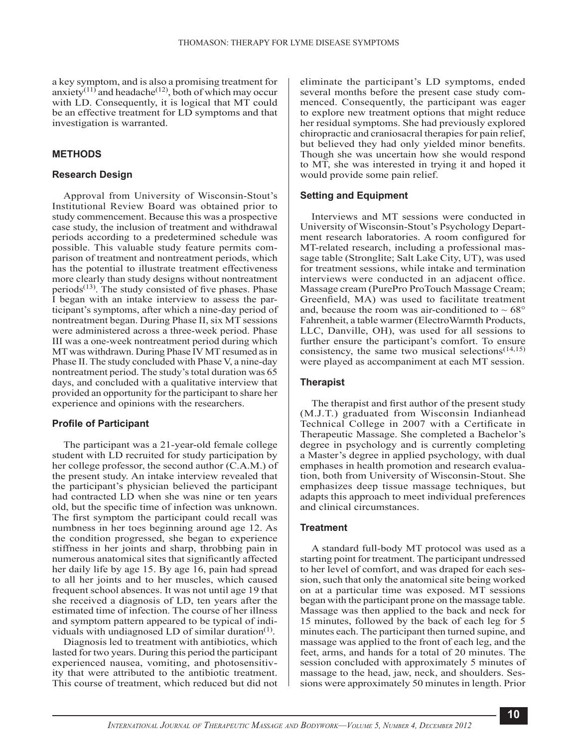a key symptom, and is also a promising treatment for anxiety<sup>(11)</sup> and headache<sup>(12)</sup>, both of which may occur with LD. Consequently, it is logical that MT could be an effective treatment for LD symptoms and that investigation is warranted.

# **Methods**

## **Research Design**

Approval from University of Wisconsin-Stout's Institutional Review Board was obtained prior to study commencement. Because this was a prospective case study, the inclusion of treatment and withdrawal periods according to a predetermined schedule was possible. This valuable study feature permits comparison of treatment and nontreatment periods, which has the potential to illustrate treatment effectiveness more clearly than study designs without nontreatment periods $(13)$ . The study consisted of five phases. Phase I began with an intake interview to assess the participant's symptoms, after which a nine-day period of nontreatment began. During Phase II, six MT sessions were administered across a three-week period. Phase III was a one-week nontreatment period during which MT was withdrawn. During Phase IV MT resumed as in Phase II. The study concluded with Phase V, a nine-day nontreatment period. The study's total duration was 65 days, and concluded with a qualitative interview that provided an opportunity for the participant to share her experience and opinions with the researchers.

# **Profile of Participant**

The participant was a 21-year-old female college student with LD recruited for study participation by her college professor, the second author (C.A.M.) of the present study. An intake interview revealed that the participant's physician believed the participant had contracted LD when she was nine or ten years old, but the specific time of infection was unknown. The first symptom the participant could recall was numbness in her toes beginning around age 12. As the condition progressed, she began to experience stiffness in her joints and sharp, throbbing pain in numerous anatomical sites that significantly affected her daily life by age 15. By age 16, pain had spread to all her joints and to her muscles, which caused frequent school absences. It was not until age 19 that she received a diagnosis of LD, ten years after the estimated time of infection. The course of her illness and symptom pattern appeared to be typical of individuals with undiagnosed LD of similar duration $<sup>(1)</sup>$ .</sup>

Diagnosis led to treatment with antibiotics, which lasted for two years. During this period the participant experienced nausea, vomiting, and photosensitivity that were attributed to the antibiotic treatment. This course of treatment, which reduced but did not eliminate the participant's LD symptoms, ended several months before the present case study commenced. Consequently, the participant was eager to explore new treatment options that might reduce her residual symptoms. She had previously explored chiropractic and craniosacral therapies for pain relief, but believed they had only yielded minor benefits. Though she was uncertain how she would respond to MT, she was interested in trying it and hoped it would provide some pain relief.

## **Setting and Equipment**

Interviews and MT sessions were conducted in University of Wisconsin-Stout's Psychology Department research laboratories. A room configured for MT-related research, including a professional massage table (Stronglite; Salt Lake City, UT), was used for treatment sessions, while intake and termination interviews were conducted in an adjacent office. Massage cream (PurePro ProTouch Massage Cream; Greenfield, MA) was used to facilitate treatment and, because the room was air-conditioned to  $\sim 68^{\circ}$ Fahrenheit, a table warmer (ElectroWarmth Products, LLC, Danville, OH), was used for all sessions to further ensure the participant's comfort. To ensure consistency, the same two musical selections $(14,15)$ were played as accompaniment at each MT session.

#### **Therapist**

The therapist and first author of the present study (M.J.T.) graduated from Wisconsin Indianhead Technical College in 2007 with a Certificate in Therapeutic Massage. She completed a Bachelor's degree in psychology and is currently completing a Master's degree in applied psychology, with dual emphases in health promotion and research evaluation, both from University of Wisconsin-Stout. She emphasizes deep tissue massage techniques, but adapts this approach to meet individual preferences and clinical circumstances.

## **Treatment**

A standard full-body MT protocol was used as a starting point for treatment. The participant undressed to her level of comfort, and was draped for each session, such that only the anatomical site being worked on at a particular time was exposed. MT sessions began with the participant prone on the massage table. Massage was then applied to the back and neck for 15 minutes, followed by the back of each leg for 5 minutes each. The participant then turned supine, and massage was applied to the front of each leg, and the feet, arms, and hands for a total of 20 minutes. The session concluded with approximately 5 minutes of massage to the head, jaw, neck, and shoulders. Sessions were approximately 50 minutes in length. Prior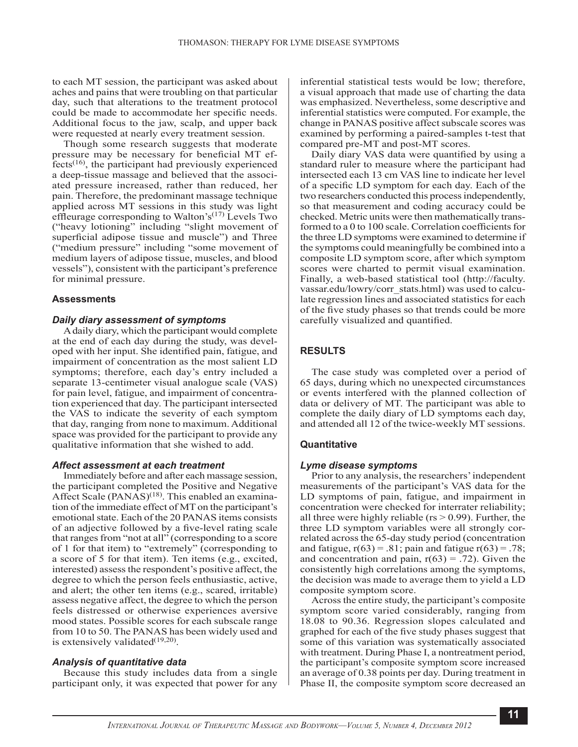to each MT session, the participant was asked about aches and pains that were troubling on that particular day, such that alterations to the treatment protocol could be made to accommodate her specific needs. Additional focus to the jaw, scalp, and upper back were requested at nearly every treatment session.

Though some research suggests that moderate pressure may be necessary for beneficial MT effects(16), the participant had previously experienced a deep-tissue massage and believed that the associated pressure increased, rather than reduced, her pain. Therefore, the predominant massage technique applied across MT sessions in this study was light effleurage corresponding to Walton's<sup>(17)</sup> Levels Two ("heavy lotioning" including "slight movement of superficial adipose tissue and muscle") and Three ("medium pressure" including "some movement of medium layers of adipose tissue, muscles, and blood vessels"), consistent with the participant's preference for minimal pressure.

## **Assessments**

## *Daily diary assessment of symptoms*

A daily diary, which the participant would complete at the end of each day during the study, was developed with her input. She identified pain, fatigue, and impairment of concentration as the most salient LD symptoms; therefore, each day's entry included a separate 13-centimeter visual analogue scale (VAS) for pain level, fatigue, and impairment of concentration experienced that day. The participant intersected the VAS to indicate the severity of each symptom that day, ranging from none to maximum. Additional space was provided for the participant to provide any qualitative information that she wished to add.

### *Affect assessment at each treatment*

Immediately before and after each massage session, the participant completed the Positive and Negative Affect Scale  $(PANAS)^{(18)}$ . This enabled an examination of the immediate effect of MT on the participant's emotional state. Each of the 20 PANAS items consists of an adjective followed by a five-level rating scale that ranges from "not at all" (corresponding to a score of 1 for that item) to "extremely" (corresponding to a score of 5 for that item). Ten items (e.g., excited, interested) assess the respondent's positive affect, the degree to which the person feels enthusiastic, active, and alert; the other ten items (e.g., scared, irritable) assess negative affect, the degree to which the person feels distressed or otherwise experiences aversive mood states. Possible scores for each subscale range from 10 to 50. The PANAS has been widely used and is extensively validated $(19,20)$ .

#### *Analysis of quantitative data*

Because this study includes data from a single participant only, it was expected that power for any inferential statistical tests would be low; therefore, a visual approach that made use of charting the data was emphasized. Nevertheless, some descriptive and inferential statistics were computed. For example, the change in PANAS positive affect subscale scores was examined by performing a paired-samples t-test that compared pre-MT and post-MT scores.

Daily diary VAS data were quantified by using a standard ruler to measure where the participant had intersected each 13 cm VAS line to indicate her level of a specific LD symptom for each day. Each of the two researchers conducted this process independently, so that measurement and coding accuracy could be checked. Metric units were then mathematically transformed to a 0 to 100 scale. Correlation coefficients for the three LD symptoms were examined to determine if the symptoms could meaningfully be combined into a composite LD symptom score, after which symptom scores were charted to permit visual examination. Finally, a web-based statistical tool ([http://faculty.](http://faculty.vassar.edu/lowry/corr_stats.html) [vassar.edu/lowry/corr\\_stats.html](http://faculty.vassar.edu/lowry/corr_stats.html)) was used to calculate regression lines and associated statistics for each of the five study phases so that trends could be more carefully visualized and quantified.

# **Results**

The case study was completed over a period of 65 days, during which no unexpected circumstances or events interfered with the planned collection of data or delivery of MT. The participant was able to complete the daily diary of LD symptoms each day, and attended all 12 of the twice-weekly MT sessions.

#### **Quantitative**

#### *Lyme disease symptoms*

Prior to any analysis, the researchers' independent measurements of the participant's VAS data for the LD symptoms of pain, fatigue, and impairment in concentration were checked for interrater reliability; all three were highly reliable ( $rs$  > 0.99). Further, the three LD symptom variables were all strongly correlated across the 65-day study period (concentration and fatigue,  $r(63) = .81$ ; pain and fatigue  $r(63) = .78$ ; and concentration and pain,  $r(63) = .72$ ). Given the consistently high correlations among the symptoms, the decision was made to average them to yield a LD composite symptom score.

Across the entire study, the participant's composite symptom score varied considerably, ranging from 18.08 to 90.36. Regression slopes calculated and graphed for each of the five study phases suggest that some of this variation was systematically associated with treatment. During Phase I, a nontreatment period, the participant's composite symptom score increased an average of 0.38 points per day. During treatment in Phase II, the composite symptom score decreased an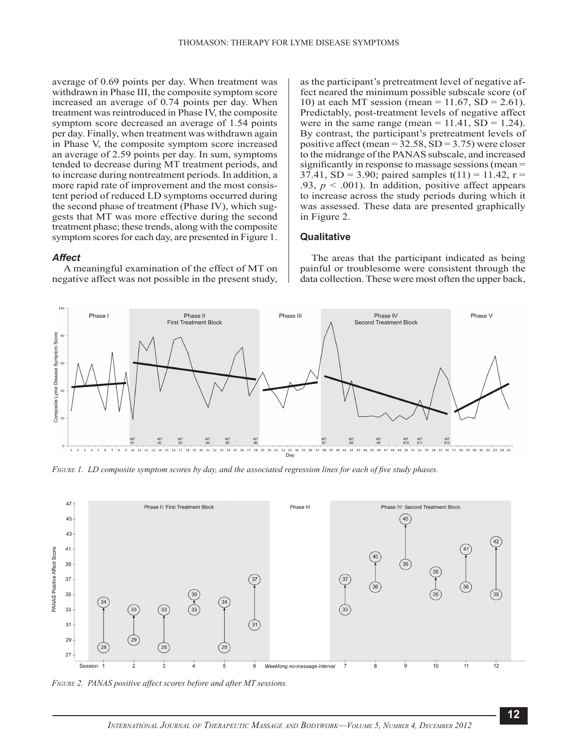average of 0.69 points per day. When treatment was withdrawn in Phase III, the composite symptom score increased an average of 0.74 points per day. When treatment was reintroduced in Phase IV, the composite symptom score decreased an average of 1.54 points per day. Finally, when treatment was withdrawn again in Phase V, the composite symptom score increased an average of 2.59 points per day. In sum, symptoms tended to decrease during MT treatment periods, and to increase during nontreatment periods. In addition, a more rapid rate of improvement and the most consistent period of reduced LD symptoms occurred during the second phase of treatment (Phase IV), which suggests that MT was more effective during the second treatment phase; these trends, along with the composite symptom scores for each day, are presented in Figure 1.

#### *Affect*

A meaningful examination of the effect of MT on negative affect was not possible in the present study,

as the participant's pretreatment level of negative affect neared the minimum possible subscale score (of 10) at each MT session (mean =  $11.67$ , SD =  $2.61$ ). Predictably, post-treatment levels of negative affect were in the same range (mean =  $11.41$ , SD =  $1.24$ ). By contrast, the participant's pretreatment levels of positive affect (mean =  $32.58$ , SD =  $3.75$ ) were closer to the midrange of the PANAS subscale, and increased significantly in response to massage sessions (mean = 37.41, SD = 3.90; paired samples  $t(11) = 11.42$ , r = .93,  $p < .001$ ). In addition, positive affect appears to increase across the study periods during which it was assessed. These data are presented graphically in Figure 2.

#### **Qualitative**

The areas that the participant indicated as being painful or troublesome were consistent through the data collection. These were most often the upper back,



*Figure 1. LD composite symptom scores by day, and the associated regression lines for each of five study phases.*



*Figure 2. PANAS positive affect scores before and after MT sessions.*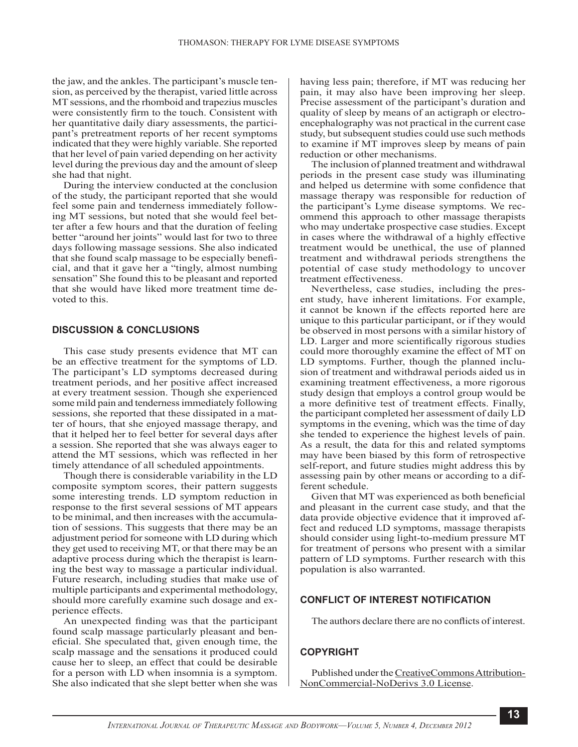the jaw, and the ankles. The participant's muscle tension, as perceived by the therapist, varied little across MT sessions, and the rhomboid and trapezius muscles were consistently firm to the touch. Consistent with her quantitative daily diary assessments, the participant's pretreatment reports of her recent symptoms indicated that they were highly variable. She reported that her level of pain varied depending on her activity level during the previous day and the amount of sleep she had that night.

During the interview conducted at the conclusion of the study, the participant reported that she would feel some pain and tenderness immediately following MT sessions, but noted that she would feel better after a few hours and that the duration of feeling better "around her joints" would last for two to three days following massage sessions. She also indicated that she found scalp massage to be especially beneficial, and that it gave her a "tingly, almost numbing sensation" She found this to be pleasant and reported that she would have liked more treatment time devoted to this.

## **DISCUSSION & CONCLUSIONS**

This case study presents evidence that MT can be an effective treatment for the symptoms of LD. The participant's LD symptoms decreased during treatment periods, and her positive affect increased at every treatment session. Though she experienced some mild pain and tenderness immediately following sessions, she reported that these dissipated in a matter of hours, that she enjoyed massage therapy, and that it helped her to feel better for several days after a session. She reported that she was always eager to attend the MT sessions, which was reflected in her timely attendance of all scheduled appointments.

Though there is considerable variability in the LD composite symptom scores, their pattern suggests some interesting trends. LD symptom reduction in response to the first several sessions of MT appears to be minimal, and then increases with the accumulation of sessions. This suggests that there may be an adjustment period for someone with LD during which they get used to receiving MT, or that there may be an adaptive process during which the therapist is learning the best way to massage a particular individual. Future research, including studies that make use of multiple participants and experimental methodology, should more carefully examine such dosage and experience effects.

An unexpected finding was that the participant found scalp massage particularly pleasant and beneficial. She speculated that, given enough time, the scalp massage and the sensations it produced could cause her to sleep, an effect that could be desirable for a person with LD when insomnia is a symptom. She also indicated that she slept better when she was

having less pain; therefore, if MT was reducing her pain, it may also have been improving her sleep. Precise assessment of the participant's duration and quality of sleep by means of an actigraph or electroencephalography was not practical in the current case study, but subsequent studies could use such methods to examine if MT improves sleep by means of pain reduction or other mechanisms.

The inclusion of planned treatment and withdrawal periods in the present case study was illuminating and helped us determine with some confidence that massage therapy was responsible for reduction of the participant's Lyme disease symptoms. We recommend this approach to other massage therapists who may undertake prospective case studies. Except in cases where the withdrawal of a highly effective treatment would be unethical, the use of planned treatment and withdrawal periods strengthens the potential of case study methodology to uncover treatment effectiveness.

Nevertheless, case studies, including the present study, have inherent limitations. For example, it cannot be known if the effects reported here are unique to this particular participant, or if they would be observed in most persons with a similar history of LD. Larger and more scientifically rigorous studies could more thoroughly examine the effect of MT on LD symptoms. Further, though the planned inclusion of treatment and withdrawal periods aided us in examining treatment effectiveness, a more rigorous study design that employs a control group would be a more definitive test of treatment effects. Finally, the participant completed her assessment of daily LD symptoms in the evening, which was the time of day she tended to experience the highest levels of pain. As a result, the data for this and related symptoms may have been biased by this form of retrospective self-report, and future studies might address this by assessing pain by other means or according to a different schedule.

Given that MT was experienced as both beneficial and pleasant in the current case study, and that the data provide objective evidence that it improved affect and reduced LD symptoms, massage therapists should consider using light-to-medium pressure MT for treatment of persons who present with a similar pattern of LD symptoms. Further research with this population is also warranted.

# **Conflict of Interest Notification**

The authors declare there are no conflicts of interest.

# **Copyright**

Published under the [CreativeCommons Attribution-](http://www.ijtmb.org/index.php/ijtmb/about/submissions#copyrightNotice)[NonCommercial-NoDerivs 3.0 License](http://www.ijtmb.org/index.php/ijtmb/about/submissions#copyrightNotice).